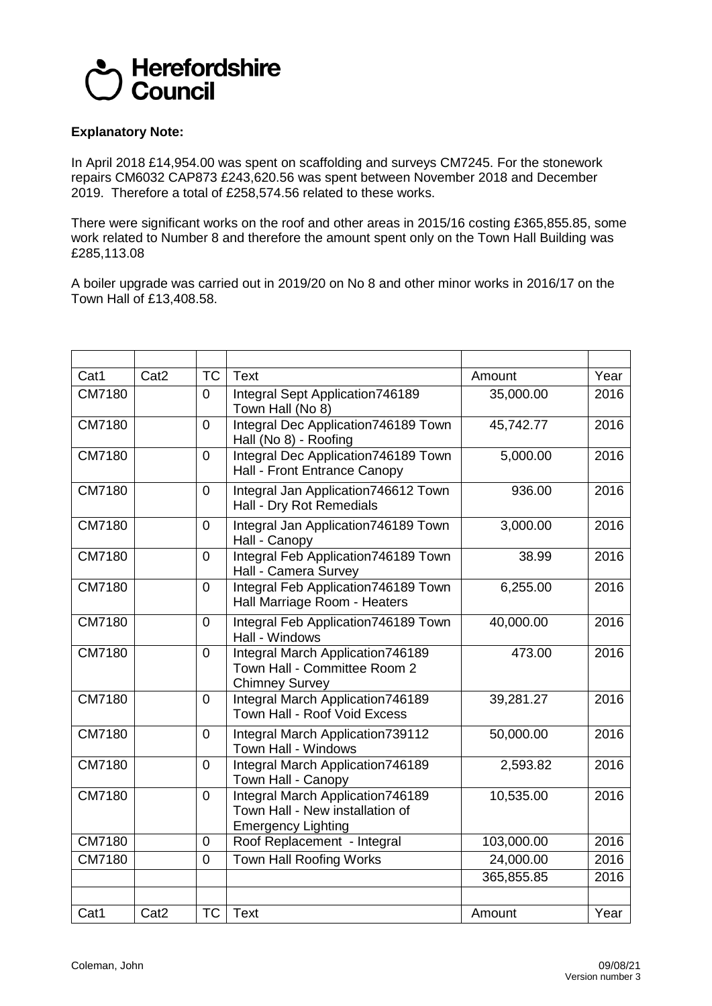

## **Explanatory Note:**

In April 2018 £14,954.00 was spent on scaffolding and surveys CM7245. For the stonework repairs CM6032 CAP873 £243,620.56 was spent between November 2018 and December 2019. Therefore a total of £258,574.56 related to these works.

There were significant works on the roof and other areas in 2015/16 costing £365,855.85, some work related to Number 8 and therefore the amount spent only on the Town Hall Building was £285,113.08

A boiler upgrade was carried out in 2019/20 on No 8 and other minor works in 2016/17 on the Town Hall of £13,408.58.

| Cat1          | Cat <sub>2</sub> | <b>TC</b>      | <b>Text</b>                                                                                      | Amount     | Year |
|---------------|------------------|----------------|--------------------------------------------------------------------------------------------------|------------|------|
| CM7180        |                  | $\mathbf 0$    | Integral Sept Application746189<br>Town Hall (No 8)                                              | 35,000.00  | 2016 |
| CM7180        |                  | $\overline{0}$ | Integral Dec Application746189 Town<br>Hall (No 8) - Roofing                                     | 45,742.77  | 2016 |
| CM7180        |                  | $\overline{0}$ | Integral Dec Application746189 Town<br>Hall - Front Entrance Canopy                              | 5,000.00   | 2016 |
| CM7180        |                  | $\mathbf 0$    | Integral Jan Application746612 Town<br>Hall - Dry Rot Remedials                                  | 936.00     | 2016 |
| CM7180        |                  | $\overline{0}$ | Integral Jan Application746189 Town<br>Hall - Canopy                                             | 3,000.00   | 2016 |
| CM7180        |                  | $\overline{0}$ | Integral Feb Application746189 Town<br>Hall - Camera Survey                                      | 38.99      | 2016 |
| CM7180        |                  | $\mathbf 0$    | Integral Feb Application746189 Town<br>Hall Marriage Room - Heaters                              | 6,255.00   | 2016 |
| CM7180        |                  | $\overline{0}$ | Integral Feb Application746189 Town<br>Hall - Windows                                            | 40,000.00  | 2016 |
| CM7180        |                  | $\overline{0}$ | Integral March Application746189<br>Town Hall - Committee Room 2<br><b>Chimney Survey</b>        | 473.00     | 2016 |
| CM7180        |                  | $\overline{0}$ | Integral March Application746189<br>Town Hall - Roof Void Excess                                 | 39,281.27  | 2016 |
| CM7180        |                  | $\mathbf 0$    | Integral March Application739112<br>Town Hall - Windows                                          | 50,000.00  | 2016 |
| CM7180        |                  | $\overline{0}$ | Integral March Application746189<br>Town Hall - Canopy                                           | 2,593.82   | 2016 |
| CM7180        |                  | $\mathbf 0$    | Integral March Application746189<br>Town Hall - New installation of<br><b>Emergency Lighting</b> | 10,535.00  | 2016 |
| <b>CM7180</b> |                  | $\overline{0}$ | Roof Replacement - Integral                                                                      | 103,000.00 | 2016 |
| CM7180        |                  | $\overline{0}$ | <b>Town Hall Roofing Works</b>                                                                   | 24,000.00  | 2016 |
|               |                  |                |                                                                                                  | 365,855.85 | 2016 |
| Cat1          | Cat <sub>2</sub> | <b>TC</b>      | <b>Text</b>                                                                                      | Amount     | Year |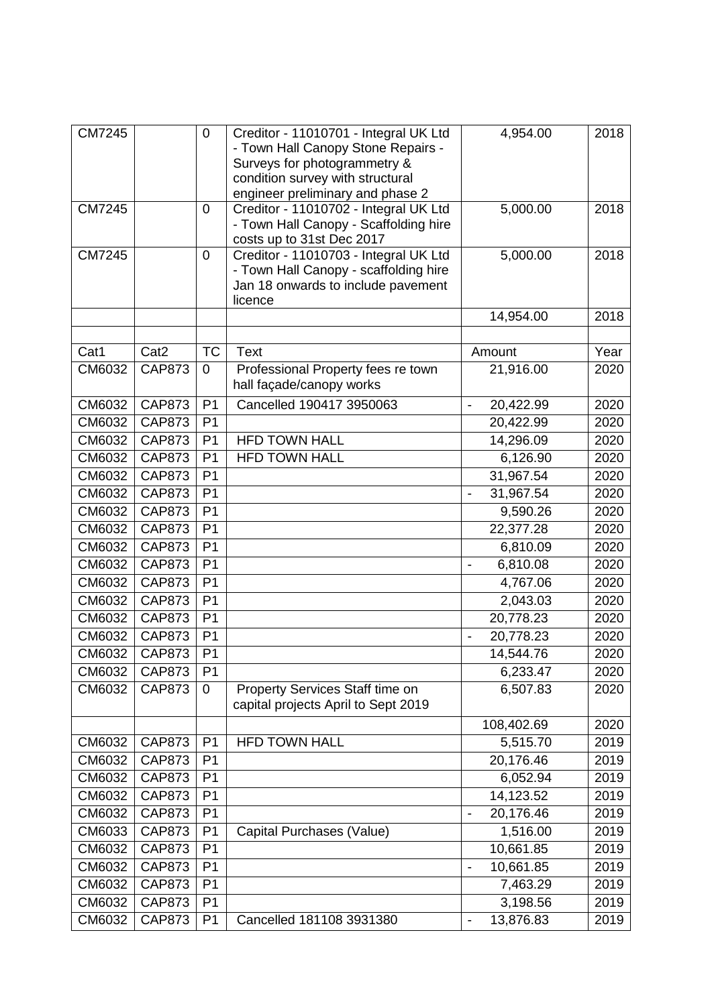| <b>CM7245</b> |                  | $\mathbf 0$    | Creditor - 11010701 - Integral UK Ltd<br>- Town Hall Canopy Stone Repairs -<br>Surveys for photogrammetry &<br>condition survey with structural<br>engineer preliminary and phase 2 | 4,954.00                              | 2018 |
|---------------|------------------|----------------|-------------------------------------------------------------------------------------------------------------------------------------------------------------------------------------|---------------------------------------|------|
| <b>CM7245</b> |                  | $\mathbf 0$    | Creditor - 11010702 - Integral UK Ltd<br>- Town Hall Canopy - Scaffolding hire<br>costs up to 31st Dec 2017                                                                         | 5,000.00                              | 2018 |
| <b>CM7245</b> |                  | 0              | Creditor - 11010703 - Integral UK Ltd<br>- Town Hall Canopy - scaffolding hire<br>Jan 18 onwards to include pavement<br>licence                                                     | 5,000.00                              | 2018 |
|               |                  |                |                                                                                                                                                                                     | 14,954.00                             | 2018 |
|               |                  |                |                                                                                                                                                                                     |                                       |      |
| Cat1          | Cat <sub>2</sub> | <b>TC</b>      | <b>Text</b>                                                                                                                                                                         | Amount                                | Year |
| CM6032        | <b>CAP873</b>    | $\Omega$       | Professional Property fees re town<br>hall façade/canopy works                                                                                                                      | 21,916.00                             | 2020 |
| CM6032        | <b>CAP873</b>    | P <sub>1</sub> | Cancelled 190417 3950063                                                                                                                                                            | 20,422.99<br>$\overline{\phantom{a}}$ | 2020 |
| CM6032        | <b>CAP873</b>    | P <sub>1</sub> |                                                                                                                                                                                     | 20,422.99                             | 2020 |
| CM6032        | <b>CAP873</b>    | P <sub>1</sub> | <b>HFD TOWN HALL</b>                                                                                                                                                                | 14,296.09                             | 2020 |
| CM6032        | <b>CAP873</b>    | P <sub>1</sub> | <b>HFD TOWN HALL</b>                                                                                                                                                                | 6,126.90                              | 2020 |
| CM6032        | <b>CAP873</b>    | P <sub>1</sub> |                                                                                                                                                                                     | 31,967.54                             | 2020 |
| CM6032        | <b>CAP873</b>    | P <sub>1</sub> |                                                                                                                                                                                     | 31,967.54                             | 2020 |
| CM6032        | <b>CAP873</b>    | P <sub>1</sub> |                                                                                                                                                                                     | 9,590.26                              | 2020 |
| CM6032        | <b>CAP873</b>    | P <sub>1</sub> |                                                                                                                                                                                     | 22,377.28                             | 2020 |
| CM6032        | <b>CAP873</b>    | P <sub>1</sub> |                                                                                                                                                                                     | 6,810.09                              | 2020 |
| CM6032        | <b>CAP873</b>    | P <sub>1</sub> |                                                                                                                                                                                     | 6,810.08<br>$\overline{\phantom{a}}$  | 2020 |
| CM6032        | <b>CAP873</b>    | P <sub>1</sub> |                                                                                                                                                                                     | 4,767.06                              | 2020 |
| CM6032        | <b>CAP873</b>    | P <sub>1</sub> |                                                                                                                                                                                     | 2,043.03                              | 2020 |
| CM6032        | <b>CAP873</b>    | P <sub>1</sub> |                                                                                                                                                                                     | 20,778.23                             | 2020 |
| CM6032        | <b>CAP873</b>    | P <sub>1</sub> |                                                                                                                                                                                     | 20,778.23<br>$\frac{1}{2}$            | 2020 |
| CM6032        | <b>CAP873</b>    | P <sub>1</sub> |                                                                                                                                                                                     | 14,544.76                             | 2020 |
| CM6032        | <b>CAP873</b>    | P <sub>1</sub> |                                                                                                                                                                                     | 6,233.47                              | 2020 |
| CM6032        | <b>CAP873</b>    | $\mathbf 0$    | Property Services Staff time on<br>capital projects April to Sept 2019                                                                                                              | 6,507.83                              | 2020 |
|               |                  |                |                                                                                                                                                                                     | 108,402.69                            | 2020 |
| CM6032        | <b>CAP873</b>    | P <sub>1</sub> | <b>HFD TOWN HALL</b>                                                                                                                                                                | 5,515.70                              | 2019 |
| CM6032        | <b>CAP873</b>    | P <sub>1</sub> |                                                                                                                                                                                     | 20,176.46                             | 2019 |
| CM6032        | <b>CAP873</b>    | P <sub>1</sub> |                                                                                                                                                                                     | 6,052.94                              | 2019 |
| CM6032        | <b>CAP873</b>    | P <sub>1</sub> |                                                                                                                                                                                     | 14,123.52                             | 2019 |
| CM6032        | <b>CAP873</b>    | P <sub>1</sub> |                                                                                                                                                                                     | 20,176.46                             | 2019 |
| CM6033        | <b>CAP873</b>    | P <sub>1</sub> | Capital Purchases (Value)                                                                                                                                                           | 1,516.00                              | 2019 |
| CM6032        | <b>CAP873</b>    | P <sub>1</sub> |                                                                                                                                                                                     | 10,661.85                             | 2019 |
| CM6032        | <b>CAP873</b>    | P <sub>1</sub> |                                                                                                                                                                                     | 10,661.85                             | 2019 |
| CM6032        | <b>CAP873</b>    | P <sub>1</sub> |                                                                                                                                                                                     | 7,463.29                              | 2019 |
| CM6032        | <b>CAP873</b>    | P <sub>1</sub> |                                                                                                                                                                                     | 3,198.56                              | 2019 |
| CM6032        | <b>CAP873</b>    | P <sub>1</sub> | Cancelled 181108 3931380                                                                                                                                                            | 13,876.83<br>$\blacksquare$           | 2019 |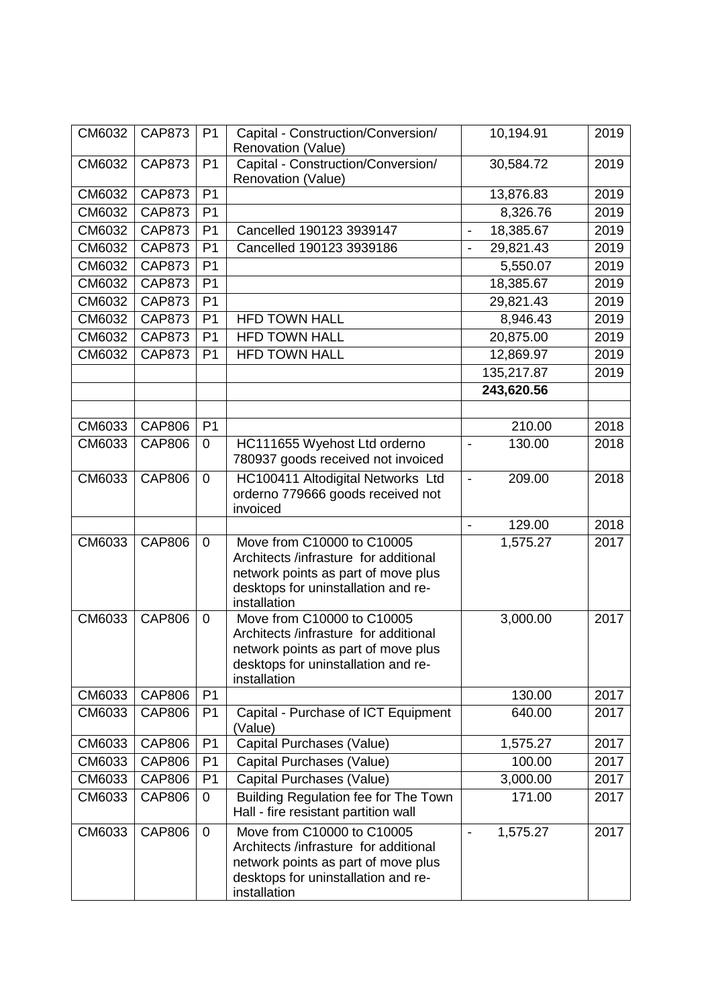| CM6032 | <b>CAP873</b> | P <sub>1</sub> | Capital - Construction/Conversion/                                           | 10,194.91                             | 2019 |
|--------|---------------|----------------|------------------------------------------------------------------------------|---------------------------------------|------|
|        |               |                | Renovation (Value)                                                           |                                       |      |
| CM6032 | <b>CAP873</b> | P <sub>1</sub> | Capital - Construction/Conversion/                                           | 30,584.72                             | 2019 |
|        |               |                | Renovation (Value)                                                           |                                       |      |
| CM6032 | <b>CAP873</b> | P <sub>1</sub> |                                                                              | 13,876.83                             | 2019 |
| CM6032 | <b>CAP873</b> | P <sub>1</sub> |                                                                              | 8,326.76                              | 2019 |
| CM6032 | <b>CAP873</b> | P <sub>1</sub> | Cancelled 190123 3939147                                                     | 18,385.67<br>$\overline{\phantom{a}}$ | 2019 |
| CM6032 | <b>CAP873</b> | P <sub>1</sub> | Cancelled 190123 3939186                                                     | 29,821.43<br>$\overline{\phantom{a}}$ | 2019 |
| CM6032 | <b>CAP873</b> | P <sub>1</sub> |                                                                              | 5,550.07                              | 2019 |
| CM6032 | <b>CAP873</b> | P <sub>1</sub> |                                                                              | 18,385.67                             | 2019 |
| CM6032 | <b>CAP873</b> | P <sub>1</sub> |                                                                              | 29,821.43                             | 2019 |
| CM6032 | <b>CAP873</b> | P <sub>1</sub> | <b>HFD TOWN HALL</b>                                                         | 8,946.43                              | 2019 |
| CM6032 | <b>CAP873</b> | P <sub>1</sub> | <b>HFD TOWN HALL</b>                                                         | 20,875.00                             | 2019 |
| CM6032 | <b>CAP873</b> | P <sub>1</sub> | <b>HFD TOWN HALL</b>                                                         | 12,869.97                             | 2019 |
|        |               |                |                                                                              | 135,217.87                            | 2019 |
|        |               |                |                                                                              | 243,620.56                            |      |
|        |               |                |                                                                              |                                       |      |
| CM6033 | <b>CAP806</b> | P <sub>1</sub> |                                                                              | 210.00                                | 2018 |
| CM6033 | <b>CAP806</b> | $\mathbf 0$    | HC111655 Wyehost Ltd orderno                                                 | 130.00<br>$\overline{a}$              | 2018 |
|        |               |                | 780937 goods received not invoiced                                           |                                       |      |
| CM6033 | <b>CAP806</b> | $\mathbf 0$    | HC100411 Altodigital Networks Ltd                                            | 209.00<br>$\blacksquare$              | 2018 |
|        |               |                | orderno 779666 goods received not                                            |                                       |      |
|        |               |                | invoiced                                                                     |                                       |      |
|        |               |                |                                                                              | 129.00<br>$\blacksquare$              | 2018 |
| CM6033 | <b>CAP806</b> | $\overline{0}$ | Move from C10000 to C10005                                                   | 1,575.27                              | 2017 |
|        |               |                | Architects /infrasture for additional<br>network points as part of move plus |                                       |      |
|        |               |                | desktops for uninstallation and re-                                          |                                       |      |
|        |               |                | installation                                                                 |                                       |      |
| CM6033 | <b>CAP806</b> | $\mathbf 0$    | Move from C10000 to C10005                                                   | 3,000.00                              | 2017 |
|        |               |                | Architects /infrasture for additional                                        |                                       |      |
|        |               |                | network points as part of move plus                                          |                                       |      |
|        |               |                | desktops for uninstallation and re-                                          |                                       |      |
| CM6033 | <b>CAP806</b> | P <sub>1</sub> | installation                                                                 | 130.00                                | 2017 |
| CM6033 | <b>CAP806</b> | P <sub>1</sub> | Capital - Purchase of ICT Equipment                                          | 640.00                                | 2017 |
|        |               |                | (Value)                                                                      |                                       |      |
| CM6033 | <b>CAP806</b> | P <sub>1</sub> | Capital Purchases (Value)                                                    | 1,575.27                              | 2017 |
| CM6033 | <b>CAP806</b> | P <sub>1</sub> | Capital Purchases (Value)                                                    | 100.00                                | 2017 |
| CM6033 | <b>CAP806</b> | P <sub>1</sub> | Capital Purchases (Value)                                                    | 3,000.00                              | 2017 |
| CM6033 | <b>CAP806</b> | 0              | Building Regulation fee for The Town                                         | 171.00                                | 2017 |
|        |               |                | Hall - fire resistant partition wall                                         |                                       |      |
| CM6033 | <b>CAP806</b> | $\mathbf 0$    | Move from C10000 to C10005                                                   | 1,575.27<br>$\overline{\phantom{a}}$  | 2017 |
|        |               |                | Architects /infrasture for additional                                        |                                       |      |
|        |               |                | network points as part of move plus                                          |                                       |      |
|        |               |                | desktops for uninstallation and re-                                          |                                       |      |
|        |               |                | installation                                                                 |                                       |      |